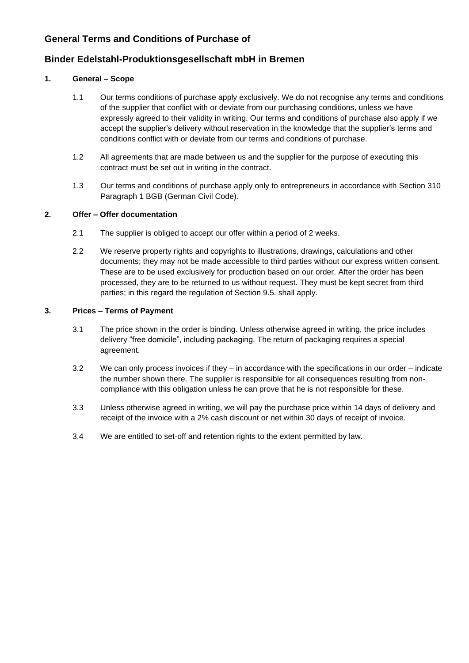# **General Terms and Conditions of Purchase of**

# **Binder Edelstahl-Produktionsgesellschaft mbH in Bremen**

## **1. General – Scope**

- 1.1 Our terms conditions of purchase apply exclusively. We do not recognise any terms and conditions of the supplier that conflict with or deviate from our purchasing conditions, unless we have expressly agreed to their validity in writing. Our terms and conditions of purchase also apply if we accept the supplier's delivery without reservation in the knowledge that the supplier's terms and conditions conflict with or deviate from our terms and conditions of purchase.
- 1.2 All agreements that are made between us and the supplier for the purpose of executing this contract must be set out in writing in the contract.
- 1.3 Our terms and conditions of purchase apply only to entrepreneurs in accordance with Section 310 Paragraph 1 BGB (German Civil Code).

## **2. Offer – Offer documentation**

- 2.1 The supplier is obliged to accept our offer within a period of 2 weeks.
- 2.2 We reserve property rights and copyrights to illustrations, drawings, calculations and other documents; they may not be made accessible to third parties without our express written consent. These are to be used exclusively for production based on our order. After the order has been processed, they are to be returned to us without request. They must be kept secret from third parties; in this regard the regulation of Section 9.5. shall apply.

### **3. Prices – Terms of Payment**

- 3.1 The price shown in the order is binding. Unless otherwise agreed in writing, the price includes delivery "free domicile", including packaging. The return of packaging requires a special agreement.
- 3.2 We can only process invoices if they in accordance with the specifications in our order indicate the number shown there. The supplier is responsible for all consequences resulting from noncompliance with this obligation unless he can prove that he is not responsible for these.
- 3.3 Unless otherwise agreed in writing, we will pay the purchase price within 14 days of delivery and receipt of the invoice with a 2% cash discount or net within 30 days of receipt of invoice.
- 3.4 We are entitled to set-off and retention rights to the extent permitted by law.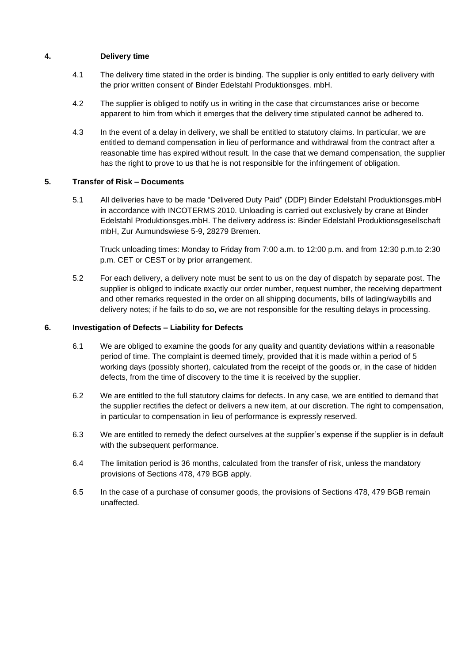## **4. Delivery time**

- 4.1 The delivery time stated in the order is binding. The supplier is only entitled to early delivery with the prior written consent of Binder Edelstahl Produktionsges. mbH.
- 4.2 The supplier is obliged to notify us in writing in the case that circumstances arise or become apparent to him from which it emerges that the delivery time stipulated cannot be adhered to.
- 4.3 In the event of a delay in delivery, we shall be entitled to statutory claims. In particular, we are entitled to demand compensation in lieu of performance and withdrawal from the contract after a reasonable time has expired without result. In the case that we demand compensation, the supplier has the right to prove to us that he is not responsible for the infringement of obligation.

### **5. Transfer of Risk – Documents**

5.1 All deliveries have to be made "Delivered Duty Paid" (DDP) Binder Edelstahl Produktionsges.mbH in accordance with INCOTERMS 2010. Unloading is carried out exclusively by crane at Binder Edelstahl Produktionsges.mbH. The delivery address is: Binder Edelstahl Produktionsgesellschaft mbH, Zur Aumundswiese 5-9, 28279 Bremen.

Truck unloading times: Monday to Friday from 7:00 a.m. to 12:00 p.m. and from 12:30 p.m.to 2:30 p.m. CET or CEST or by prior arrangement.

5.2 For each delivery, a delivery note must be sent to us on the day of dispatch by separate post. The supplier is obliged to indicate exactly our order number, request number, the receiving department and other remarks requested in the order on all shipping documents, bills of lading/waybills and delivery notes; if he fails to do so, we are not responsible for the resulting delays in processing.

#### **6. Investigation of Defects – Liability for Defects**

- 6.1 We are obliged to examine the goods for any quality and quantity deviations within a reasonable period of time. The complaint is deemed timely, provided that it is made within a period of 5 working days (possibly shorter), calculated from the receipt of the goods or, in the case of hidden defects, from the time of discovery to the time it is received by the supplier.
- 6.2 We are entitled to the full statutory claims for defects. In any case, we are entitled to demand that the supplier rectifies the defect or delivers a new item, at our discretion. The right to compensation, in particular to compensation in lieu of performance is expressly reserved.
- 6.3 We are entitled to remedy the defect ourselves at the supplier's expense if the supplier is in default with the subsequent performance.
- 6.4 The limitation period is 36 months, calculated from the transfer of risk, unless the mandatory provisions of Sections 478, 479 BGB apply.
- 6.5 In the case of a purchase of consumer goods, the provisions of Sections 478, 479 BGB remain unaffected.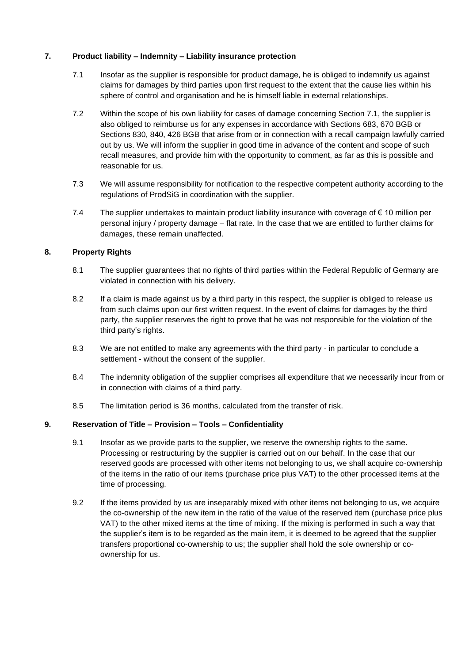### **7. Product liability – Indemnity – Liability insurance protection**

- 7.1 Insofar as the supplier is responsible for product damage, he is obliged to indemnify us against claims for damages by third parties upon first request to the extent that the cause lies within his sphere of control and organisation and he is himself liable in external relationships.
- 7.2 Within the scope of his own liability for cases of damage concerning Section 7.1, the supplier is also obliged to reimburse us for any expenses in accordance with Sections 683, 670 BGB or Sections 830, 840, 426 BGB that arise from or in connection with a recall campaign lawfully carried out by us. We will inform the supplier in good time in advance of the content and scope of such recall measures, and provide him with the opportunity to comment, as far as this is possible and reasonable for us.
- 7.3 We will assume responsibility for notification to the respective competent authority according to the regulations of ProdSiG in coordination with the supplier.
- 7.4 The supplier undertakes to maintain product liability insurance with coverage of € 10 million per personal injury / property damage – flat rate. In the case that we are entitled to further claims for damages, these remain unaffected.

## **8. Property Rights**

- 8.1 The supplier guarantees that no rights of third parties within the Federal Republic of Germany are violated in connection with his delivery.
- 8.2 If a claim is made against us by a third party in this respect, the supplier is obliged to release us from such claims upon our first written request. In the event of claims for damages by the third party, the supplier reserves the right to prove that he was not responsible for the violation of the third party's rights.
- 8.3 We are not entitled to make any agreements with the third party in particular to conclude a settlement - without the consent of the supplier.
- 8.4 The indemnity obligation of the supplier comprises all expenditure that we necessarily incur from or in connection with claims of a third party.
- 8.5 The limitation period is 36 months, calculated from the transfer of risk.

### **9. Reservation of Title – Provision – Tools – Confidentiality**

- 9.1 Insofar as we provide parts to the supplier, we reserve the ownership rights to the same. Processing or restructuring by the supplier is carried out on our behalf. In the case that our reserved goods are processed with other items not belonging to us, we shall acquire co-ownership of the items in the ratio of our items (purchase price plus VAT) to the other processed items at the time of processing.
- 9.2 If the items provided by us are inseparably mixed with other items not belonging to us, we acquire the co-ownership of the new item in the ratio of the value of the reserved item (purchase price plus VAT) to the other mixed items at the time of mixing. If the mixing is performed in such a way that the supplier's item is to be regarded as the main item, it is deemed to be agreed that the supplier transfers proportional co-ownership to us; the supplier shall hold the sole ownership or coownership for us.